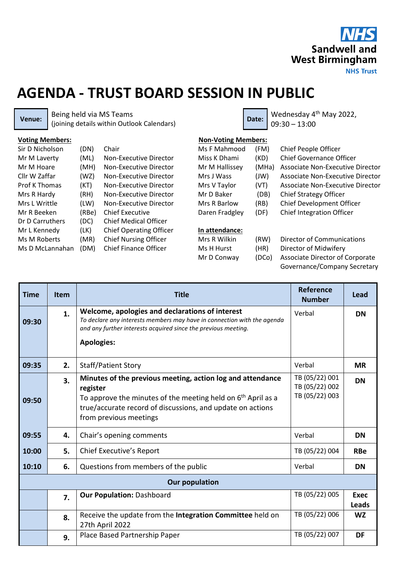

## **AGENDA - TRUST BOARD SESSION IN PUBLIC**

**Venue:** Being held via MS Teams Being held via MS Teams<br>(joining details within Outlook Calendars) **Date:** Date: 09:30 - 13:00

09:30 – 13:00

| <b>Voting Members:</b> |       |                                | <b>Non-Voting Members:</b> |       |                                        |
|------------------------|-------|--------------------------------|----------------------------|-------|----------------------------------------|
| Sir D Nicholson        | (DN)  | Chair                          | Ms F Mahmood               | (FM)  | Chief People Officer                   |
| Mr M Laverty           | (ML)  | Non-Executive Director         | Miss K Dhami               | (KD)  | <b>Chief Governance Officer</b>        |
| Mr M Hoare             | (MH)  | Non-Executive Director         | Mr M Hallissey             | (MHa) | Associate Non-Executive Director       |
| Cllr W Zaffar          | (WZ)  | Non-Executive Director         | Mrs J Wass                 | (JW)  | Associate Non-Executive Director       |
| <b>Prof K Thomas</b>   | (KT)  | Non-Executive Director         | Mrs V Taylor               | (VT)  | Associate Non-Executive Director       |
| Mrs R Hardy            | (RH)  | Non-Executive Director         | Mr D Baker                 | (DB)  | Chief Strategy Officer                 |
| Mrs L Writtle          | (LW)  | Non-Executive Director         | Mrs R Barlow               | (RB)  | <b>Chief Development Officer</b>       |
| Mr R Beeken            | (RBe) | <b>Chief Executive</b>         | Daren Fradgley             | (DF)  | <b>Chief Integration Officer</b>       |
| Dr D Carruthers        | (DC)  | <b>Chief Medical Officer</b>   |                            |       |                                        |
| Mr L Kennedy           | (LK)  | <b>Chief Operating Officer</b> | In attendance:             |       |                                        |
| Ms M Roberts           | (MR)  | <b>Chief Nursing Officer</b>   | Mrs R Wilkin               | (RW)  | Director of Communications             |
| Ms D McLannahan        | (DM)  | <b>Chief Finance Officer</b>   | Ms H Hurst                 | (HR)  | Director of Midwifery                  |
|                        |       |                                | Mr D Conway                | (DCo) | <b>Associate Director of Corporate</b> |

(DCo) Associate Director of Corporate Governance/Company Secretary

| <b>Time</b>           | <b>Item</b> | <b>Title</b>                                                                                                                                                                                                                               | Reference<br><b>Number</b>                         | Lead                 |  |  |  |  |
|-----------------------|-------------|--------------------------------------------------------------------------------------------------------------------------------------------------------------------------------------------------------------------------------------------|----------------------------------------------------|----------------------|--|--|--|--|
| 09:30                 | 1.          | Welcome, apologies and declarations of interest<br>To declare any interests members may have in connection with the agenda<br>and any further interests acquired since the previous meeting.<br><b>Apologies:</b>                          | Verbal                                             | <b>DN</b>            |  |  |  |  |
| 09:35                 | 2.          | <b>Staff/Patient Story</b>                                                                                                                                                                                                                 | Verbal                                             | <b>MR</b>            |  |  |  |  |
| 09:50                 | 3.          | Minutes of the previous meeting, action log and attendance<br>register<br>To approve the minutes of the meeting held on 6 <sup>th</sup> April as a<br>true/accurate record of discussions, and update on actions<br>from previous meetings | TB (05/22) 001<br>TB (05/22) 002<br>TB (05/22) 003 | <b>DN</b>            |  |  |  |  |
| 09:55                 | 4.          | Chair's opening comments                                                                                                                                                                                                                   | Verbal                                             | <b>DN</b>            |  |  |  |  |
| 10:00                 | 5.          | Chief Executive's Report                                                                                                                                                                                                                   | TB (05/22) 004                                     | <b>RBe</b>           |  |  |  |  |
| 10:10                 | 6.          | Questions from members of the public                                                                                                                                                                                                       | Verbal                                             | <b>DN</b>            |  |  |  |  |
| <b>Our population</b> |             |                                                                                                                                                                                                                                            |                                                    |                      |  |  |  |  |
|                       | 7.          | Our Population: Dashboard                                                                                                                                                                                                                  | TB (05/22) 005                                     | <b>Exec</b><br>Leads |  |  |  |  |
|                       | 8.          | Receive the update from the Integration Committee held on<br>27th April 2022                                                                                                                                                               | TB (05/22) 006                                     | <b>WZ</b>            |  |  |  |  |
|                       | 9.          | Place Based Partnership Paper                                                                                                                                                                                                              | TB (05/22) 007                                     | <b>DF</b>            |  |  |  |  |